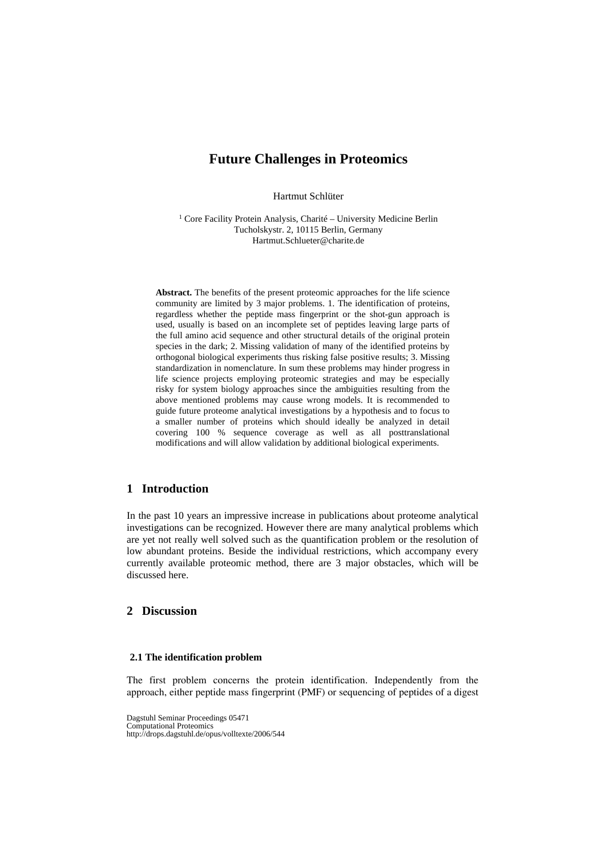# **Future Challenges in Proteomics**

Hartmut Schlüter

<sup>1</sup> Core Facility Protein Analysis, Charité – University Medicine Berlin Tucholskystr. 2, 10115 Berlin, Germany Hartmut.Schlueter@charite.de

**Abstract.** The benefits of the present proteomic approaches for the life science community are limited by 3 major problems. 1. The identification of proteins, regardless whether the peptide mass fingerprint or the shot-gun approach is used, usually is based on an incomplete set of peptides leaving large parts of the full amino acid sequence and other structural details of the original protein species in the dark; 2. Missing validation of many of the identified proteins by orthogonal biological experiments thus risking false positive results; 3. Missing standardization in nomenclature. In sum these problems may hinder progress in life science projects employing proteomic strategies and may be especially risky for system biology approaches since the ambiguities resulting from the above mentioned problems may cause wrong models. It is recommended to guide future proteome analytical investigations by a hypothesis and to focus to a smaller number of proteins which should ideally be analyzed in detail covering 100 % sequence coverage as well as all posttranslational modifications and will allow validation by additional biological experiments.

# **1 Introduction**

In the past 10 years an impressive increase in publications about proteome analytical investigations can be recognized. However there are many analytical problems which are yet not really well solved such as the quantification problem or the resolution of low abundant proteins. Beside the individual restrictions, which accompany every currently available proteomic method, there are 3 major obstacles, which will be discussed here.

### **2 Discussion**

#### **2.1 The identification problem**

The first problem concerns the protein identification. Independently from the approach, either peptide mass fingerprint (PMF) or sequencing of peptides of a digest

Dagstuhl Seminar Proceedings 05471 Computational Proteomics http://drops.dagstuhl.de/opus/volltexte/2006/544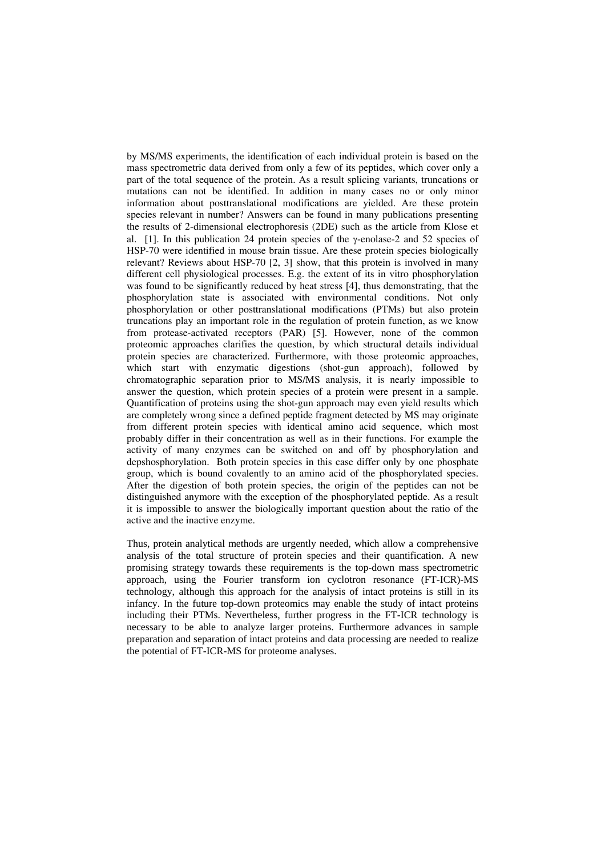by MS/MS experiments, the identification of each individual protein is based on the mass spectrometric data derived from only a few of its peptides, which cover only a part of the total sequence of the protein. As a result splicing variants, truncations or mutations can not be identified. In addition in many cases no or only minor information about posttranslational modifications are yielded. Are these protein species relevant in number? Answers can be found in many publications presenting the results of 2-dimensional electrophoresis (2DE) such as the article from Klose et al. [1]. In this publication 24 protein species of the  $\gamma$ -enolase-2 and 52 species of HSP-70 were identified in mouse brain tissue. Are these protein species biologically relevant? Reviews about HSP-70 [2, 3] show, that this protein is involved in many different cell physiological processes. E.g. the extent of its in vitro phosphorylation was found to be significantly reduced by heat stress [4], thus demonstrating, that the phosphorylation state is associated with environmental conditions. Not only phosphorylation or other posttranslational modifications (PTMs) but also protein truncations play an important role in the regulation of protein function, as we know from protease-activated receptors (PAR) [5]. However, none of the common proteomic approaches clarifies the question, by which structural details individual protein species are characterized. Furthermore, with those proteomic approaches, which start with enzymatic digestions (shot-gun approach), followed by chromatographic separation prior to MS/MS analysis, it is nearly impossible to answer the question, which protein species of a protein were present in a sample. Quantification of proteins using the shot-gun approach may even yield results which are completely wrong since a defined peptide fragment detected by MS may originate from different protein species with identical amino acid sequence, which most probably differ in their concentration as well as in their functions. For example the activity of many enzymes can be switched on and off by phosphorylation and depshosphorylation. Both protein species in this case differ only by one phosphate group, which is bound covalently to an amino acid of the phosphorylated species. After the digestion of both protein species, the origin of the peptides can not be distinguished anymore with the exception of the phosphorylated peptide. As a result it is impossible to answer the biologically important question about the ratio of the active and the inactive enzyme.

Thus, protein analytical methods are urgently needed, which allow a comprehensive analysis of the total structure of protein species and their quantification. A new promising strategy towards these requirements is the top-down mass spectrometric approach, using the Fourier transform ion cyclotron resonance (FT-ICR)-MS technology, although this approach for the analysis of intact proteins is still in its infancy. In the future top-down proteomics may enable the study of intact proteins including their PTMs. Nevertheless, further progress in the FT-ICR technology is necessary to be able to analyze larger proteins. Furthermore advances in sample preparation and separation of intact proteins and data processing are needed to realize the potential of FT-ICR-MS for proteome analyses.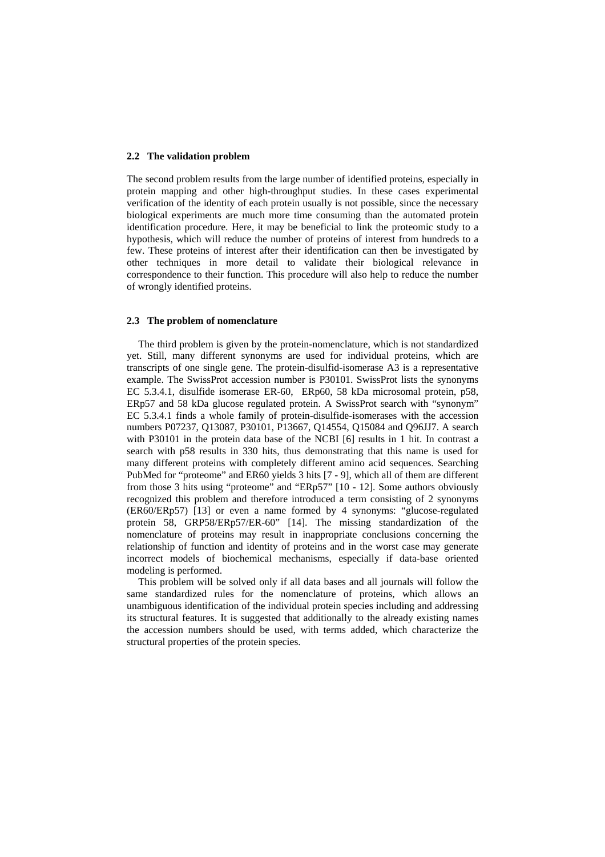#### **2.2 The validation problem**

The second problem results from the large number of identified proteins, especially in protein mapping and other high-throughput studies. In these cases experimental verification of the identity of each protein usually is not possible, since the necessary biological experiments are much more time consuming than the automated protein identification procedure. Here, it may be beneficial to link the proteomic study to a hypothesis, which will reduce the number of proteins of interest from hundreds to a few. These proteins of interest after their identification can then be investigated by other techniques in more detail to validate their biological relevance in correspondence to their function. This procedure will also help to reduce the number of wrongly identified proteins.

#### **2.3 The problem of nomenclature**

The third problem is given by the protein-nomenclature, which is not standardized yet. Still, many different synonyms are used for individual proteins, which are transcripts of one single gene. The protein-disulfid-isomerase A3 is a representative example. The SwissProt accession number is P30101. SwissProt lists the synonyms EC 5.3.4.1, disulfide isomerase ER-60, ERp60, 58 kDa microsomal protein, p58, ERp57 and 58 kDa glucose regulated protein. A SwissProt search with "synonym" EC 5.3.4.1 finds a whole family of protein-disulfide-isomerases with the accession numbers P07237, Q13087, P30101, P13667, Q14554, Q15084 and Q96JJ7. A search with P30101 in the protein data base of the NCBI [6] results in 1 hit. In contrast a search with p58 results in 330 hits, thus demonstrating that this name is used for many different proteins with completely different amino acid sequences. Searching PubMed for "proteome" and ER60 yields 3 hits [7 - 9], which all of them are different from those 3 hits using "proteome" and "ERp57" [10 - 12]. Some authors obviously recognized this problem and therefore introduced a term consisting of 2 synonyms (ER60/ERp57) [13] or even a name formed by 4 synonyms: "glucose-regulated protein 58, GRP58/ERp57/ER-60" [14]. The missing standardization of the nomenclature of proteins may result in inappropriate conclusions concerning the relationship of function and identity of proteins and in the worst case may generate incorrect models of biochemical mechanisms, especially if data-base oriented modeling is performed.

This problem will be solved only if all data bases and all journals will follow the same standardized rules for the nomenclature of proteins, which allows an unambiguous identification of the individual protein species including and addressing its structural features. It is suggested that additionally to the already existing names the accession numbers should be used, with terms added, which characterize the structural properties of the protein species.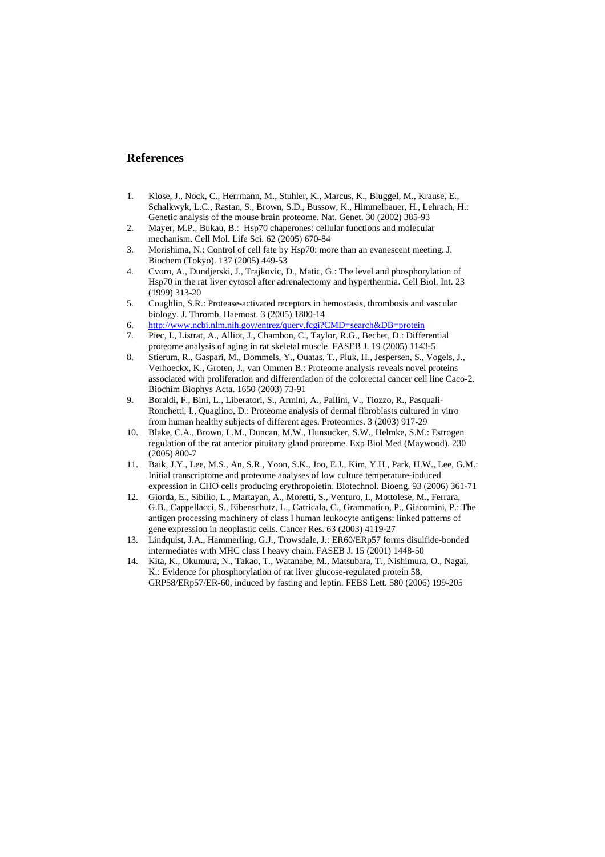## **References**

- 1. Klose, J., Nock, C., Herrmann, M., Stuhler, K., Marcus, K., Bluggel, M., Krause, E., Schalkwyk, L.C., Rastan, S., Brown, S.D., Bussow, K., Himmelbauer, H., Lehrach, H.: Genetic analysis of the mouse brain proteome. Nat. Genet. 30 (2002) 385-93
- 2. Mayer, M.P., Bukau, B.: Hsp70 chaperones: cellular functions and molecular mechanism. Cell Mol. Life Sci. 62 (2005) 670-84
- 3. Morishima, N.: Control of cell fate by Hsp70: more than an evanescent meeting. J. Biochem (Tokyo). 137 (2005) 449-53
- 4. [Cvoro, A., Dundjerski, J., Trajkovic, D., Matic, G.:](http://www.ncbi.nlm.nih.gov/entrez/query.fcgi?cmd=Retrieve&db=pubmed&dopt=Abstract&list_uids=10600240&query_hl=19&itool=pubmed_docsum) The level and phosphorylation of Hsp70 in the rat liver cytosol after adrenalectomy and hyperthermia. Cell Biol. Int. 23 (1999) 313-20
- 5. Coughlin, S.R.: Protease-activated receptors in hemostasis, thrombosis and vascular biology. J. Thromb. Haemost. 3 (2005) 1800-14
- 6. <http://www.ncbi.nlm.nih.gov/entrez/query.fcgi?CMD=search&DB=protein>
- 7. Piec, I., Listrat, A., Alliot, J., Chambon, C., Taylor, R.G., Bechet, D.: Differential proteome analysis of aging in rat skeletal muscle. FASEB J. 19 (2005) 1143-5
- 8. Stierum, R., Gaspari, M., Dommels, Y., Ouatas, T., Pluk, H., Jespersen, S., Vogels, J., Verhoeckx, K., Groten, J., van Ommen B.: Proteome analysis reveals novel proteins associated with proliferation and differentiation of the colorectal cancer cell line Caco-2. Biochim Biophys Acta. 1650 (2003) 73-91
- 9. Boraldi, F., Bini, L., Liberatori, S., Armini, A., Pallini, V., Tiozzo, R., Pasquali-Ronchetti, I., Quaglino, D.: Proteome analysis of dermal fibroblasts cultured in vitro from human healthy subjects of different ages. Proteomics. 3 (2003) 917-29
- 10. Blake, C.A., Brown, L.M., Duncan, M.W., Hunsucker, S.W., Helmke, S.M.: Estrogen regulation of the rat anterior pituitary gland proteome. Exp Biol Med (Maywood). 230 (2005) 800-7
- 11. Baik, J.Y., Lee, M.S., An, S.R., Yoon, S.K., Joo, E.J., Kim, Y.H., Park, H.W., Lee, G.M.: Initial transcriptome and proteome analyses of low culture temperature-induced expression in CHO cells producing erythropoietin. Biotechnol. Bioeng. 93 (2006) 361-71
- 12. Giorda, E., Sibilio, L., Martayan, A., Moretti, S., Venturo, I., Mottolese, M., Ferrara, G.B., Cappellacci, S., Eibenschutz, L., Catricala, C., Grammatico, P., Giacomini, P.: The antigen processing machinery of class I human leukocyte antigens: linked patterns of gene expression in neoplastic cells. Cancer Res. 63 (2003) 4119-27
- 13. Lindquist, J.A., Hammerling, G.J., Trowsdale, J.: ER60/ERp57 forms disulfide-bonded intermediates with MHC class I heavy chain. FASEB J. 15 (2001) 1448-50
- 14. Kita, K., Okumura, N., Takao, T., Watanabe, M., Matsubara, T., Nishimura, O., Nagai, K.: Evidence for phosphorylation of rat liver glucose-regulated protein 58, GRP58/ERp57/ER-60, induced by fasting and leptin. FEBS Lett. 580 (2006) 199-205